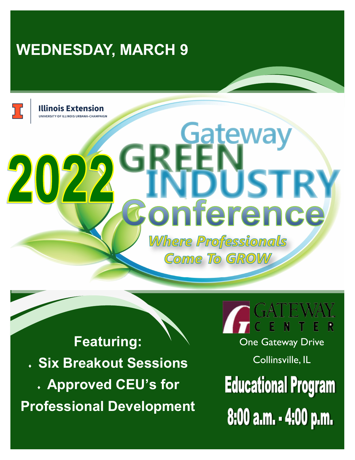## **WEDNESDAY, MARCH 9**

Illinois Extension

20

# **JSTRY** erence

**Gateway** 

**Where Professionals Come To GROW** 

**Featuring: Six Breakout Sessions Approved CEU's for Professional Development**

**One Gateway Drive** Collinsville, IL

**Educational Program** 8:00 a.m. - 4:00 p.m.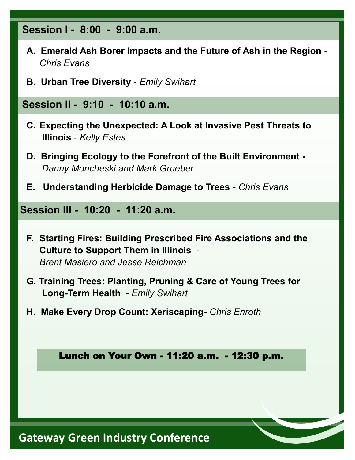#### **Session I - 8:00 - 9:00 a.m.**

- **A. Emerald Ash Borer Impacts and the Future of Ash in the Region**   *Chris Evans*
- **B. Urban Tree Diversity**  *Emily Swihart*

### **Session II - 9:10 - 10:10 a.m.**

- **C. Expecting the Unexpected: A Look at Invasive Pest Threats to Illinois** - *Kelly Estes*
- **D. Bringing Ecology to the Forefront of the Built Environment -** *Danny Moncheski and Mark Grueber*
- **E. Understanding Herbicide Damage to Trees**  *Chris Evans*

**Session III - 10:20 - 11:20 a.m.** 

- **F. Starting Fires: Building Prescribed Fire Associations and the Culture to Support Them in Illinois** - *Brent Masiero and Jesse Reichman*
- **G. Training Trees: Planting, Pruning & Care of Young Trees for Long-Term Health** - *Emily Swihart*
- **H. Make Every Drop Count: Xeriscaping** *Chris Enroth*

Lunch on Your Own - 11:20 a.m. - 12:30 p.m.

### **Gateway Green Industry Conference**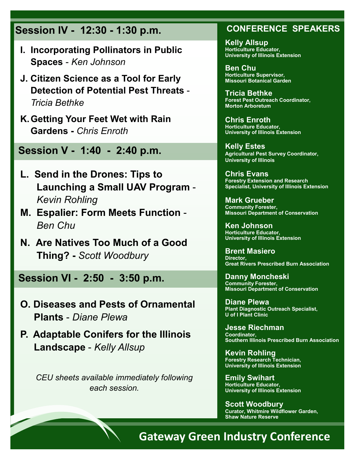### **Session IV - 12:30 - 1:30 p.m.**

- **I. Incorporating Pollinators in Public Spaces** - *Ken Johnson*
- **J. Citizen Science as a Tool for Early Detection of Potential Pest Threats** - *Tricia Bethke*
- **K.Getting Your Feet Wet with Rain Gardens -** *Chris Enroth*

**Session V - 1:40 - 2:40 p.m.** 

- **L. Send in the Drones: Tips to Launching a Small UAV Program** - *Kevin Rohling*
- **M. Espalier: Form Meets Function**  *Ben Chu*
- **N. Are Natives Too Much of a Good Thing? -** *Scott Woodbury*

**Session VI - 2:50 - 3:50 p.m.** 

- **O. Diseases and Pests of Ornamental Plants** - *Diane Plewa*
- **P. Adaptable Conifers for the Illinois Landscape** - *Kelly Allsup*

*CEU sheets available immediately following each session.*

#### **CONFERENCE SPEAKERS**

**Kelly Allsup Horticulture Educator, University of Illinois Extension**

**Ben Chu Horticulture Supervisor, Missouri Botanical Garden**

**Tricia Bethke Forest Pest Outreach Coordinator, Morton Arboretum**

**Chris Enroth Horticulture Educator, University of Illinois Extension**

**Kelly Estes Agricultural Pest Survey Coordinator, University of Illinois** 

**Chris Evans Forestry Extension and Research Specialist, University of Illinois Extension**

**Mark Grueber Community Forester, Missouri Department of Conservation**

**Ken Johnson Horticulture Educator, University of Illinois Extension**

**Brent Masiero Director, Great Rivers Prescribed Burn Association**

**Danny Moncheski Community Forester, Missouri Department of Conservation**

**Diane Plewa Plant Diagnostic Outreach Specialist, U of I Plant Clinic**

**Jesse Riechman Coordinator, Southern Illinois Prescribed Burn Association**

**Kevin Rohling Forestry Research Technician, University of Illinois Extension** 

**Emily Swihart Horticulture Educator, University of Illinois Extension**

**Scott Woodbury Curator, Whitmire Wildflower Garden, Shaw Nature Reserve**

## **Gateway Green Industry Conference**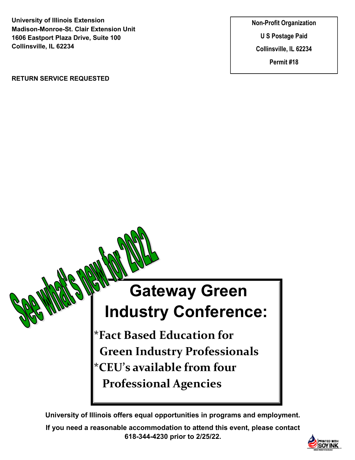**University of Illinois Extension Madison-Monroe-St. Clair Extension Unit 1606 Eastport Plaza Drive, Suite 100 Collinsville, IL 62234**

**RETURN SERVICE REQUESTED**

**Non-Profit Organization U S Postage Paid Collinsville, IL 62234 Permit #18**

## **Gateway Green Industry Conference:**

**\*Fact Based Education for Green Industry Professionals \*CEU's available from four Professional Agencies**

**University of Illinois offers equal opportunities in programs and employment.**

**If you need a reasonable accommodation to attend this event, please contact 618-344-4230 prior to 2/25/22.**

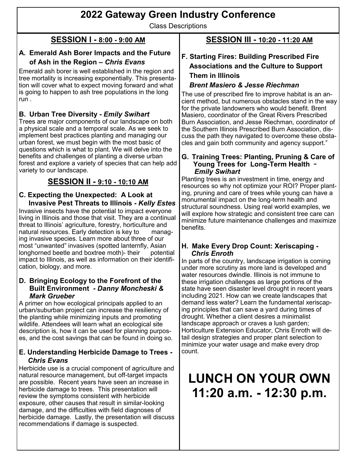### **2022 Gateway Green Industry Conference**

Class Descriptions

#### **SESSION I - 8:00 - 9:00 AM**

#### **A. Emerald Ash Borer Impacts and the Future of Ash in the Region –** *Chris Evans*

Emerald ash borer is well established in the region and tree mortality is increasing exponentially. This presentation will cover what to expect moving forward and what is going to happen to ash tree populations in the long run .

#### **B. Urban Tree Diversity -** *Emily Swihart*

Trees are major components of our landscape on both a physical scale and a temporal scale. As we seek to implement best practices planting and managing our urban forest, we must begin with the most basic of questions which is what to plant. We will delve into the benefits and challenges of planting a diverse urban forest and explore a variety of species that can help add variety to our landscape.

#### **SESSION II - 9:10 - 10:10 AM**

#### **C. Expecting the Unexpected: A Look at Invasive Pest Threats to Illinois -** *Kelly Estes*

Invasive insects have the potential to impact everyone living in Illinois and those that visit. They are a continual threat to Illinois' agriculture, forestry, horticulture and natural resources. Early detection is key to managing invasive species. Learn more about three of our most "unwanted" invasives (spotted lanternfly, Asian longhorned beetle and boxtree moth)- their potential impact to Illinois, as well as information on their identification, biology, and more.

#### **D. Bringing Ecology to the Forefront of the Built Environment -** *Danny Moncheski & Mark Grueber*

A primer on how ecological principals applied to an urban/suburban project can increase the resiliency of the planting while minimizing inputs and promoting wildlife. Attendees will learn what an ecological site description is, how it can be used for planning purposes, and the cost savings that can be found in doing so.

#### **E. Understanding Herbicide Damage to Trees -**   *Chris Evans*

Herbicide use is a crucial component of agriculture and natural resource management, but off-target impacts are possible. Recent years have seen an increase in herbicide damage to trees. This presentation will review the symptoms consistent with herbicide exposure, other causes that result in similar-looking damage, and the difficulties with field diagnoses of herbicide damage. Lastly, the presentation will discuss recommendations if damage is suspected.

#### **SESSION III - 10:20 - 11:20 AM**

#### **F. Starting Fires: Building Prescribed Fire Associations and the Culture to Support Them in Illinois**

#### *Brent Masiero & Jesse Riechman*

The use of prescribed fire to improve habitat is an ancient method, but numerous obstacles stand in the way for the private landowners who would benefit. Brent Masiero, coordinator of the Great Rivers Prescribed Burn Association, and Jesse Riechman, coordinator of the Southern Illinois Prescribed Burn Association, discuss the path they navigated to overcome these obstacles and gain both community and agency support."

#### **G. Training Trees: Planting, Pruning & Care of Young Trees for Long-Term Health** - *Emily Swihart*

Planting trees is an investment in time, energy and resources so why not optimize your ROI? Proper planting, pruning and care of trees while young can have a monumental impact on the long-term health and structural soundness. Using real world examples, we will explore how strategic and consistent tree care can minimize future maintenance challenges and maximize benefits.

#### **H. Make Every Drop Count: Xeriscaping -**   *Chris Enroth*

In parts of the country, landscape irrigation is coming under more scrutiny as more land is developed and water resources dwindle. Illinois is not immune to these irrigation challenges as large portions of the state have seen disaster level drought in recent years including 2021. How can we create landscapes that demand less water? Learn the fundamental xeriscaping principles that can save a yard during times of drought. Whether a client desires a minimalist landscape approach or craves a lush garden; Horticulture Extension Educator, Chris Enroth will detail design strategies and proper plant selection to minimize your water usage and make every drop count.

## **LUNCH ON YOUR OWN 11:20 a.m. - 12:30 p.m.**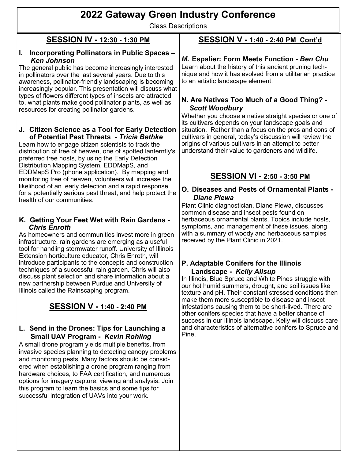### **2022 Gateway Green Industry Conference**

Class Descriptions

#### **SESSION IV - 12:30 - 1:30 PM**

#### **I. Incorporating Pollinators in Public Spaces –** *Ken Johnson*

The general public has become increasingly interested in pollinators over the last several years. Due to this awareness, pollinator-friendly landscaping is becoming increasingly popular. This presentation will discuss what types of flowers different types of insects are attracted to, what plants make good pollinator plants, as well as resources for creating pollinator gardens.

#### **J. Citizen Science as a Tool for Early Detection of Potential Pest Threats -** *Tricia Bethke*

Learn how to engage citizen scientists to track the distribution of tree of heaven, one of spotted lanternfly's preferred tree hosts, by using the Early Detection Distribution Mapping System, EDDMapS, and EDDMapS Pro (phone application). By mapping and monitoring tree of heaven, volunteers will increase the likelihood of an early detection and a rapid response for a potentially serious pest threat, and help protect the health of our communities.

#### **K. Getting Your Feet Wet with Rain Gardens -** *Chris Enroth*

As homeowners and communities invest more in green infrastructure, rain gardens are emerging as a useful tool for handling stormwater runoff. University of Illinois Extension horticulture educator, Chris Enroth, will introduce participants to the concepts and construction techniques of a successful rain garden. Chris will also discuss plant selection and share information about a new partnership between Purdue and University of Illinois called the Rainscaping program.

#### **SESSION V - 1:40 - 2:40 PM**

#### **L. Send in the Drones: Tips for Launching a Small UAV Program -** *Kevin Rohling*

A small drone program yields multiple benefits, from invasive species planning to detecting canopy problems and monitoring pests. Many factors should be considered when establishing a drone program ranging from hardware choices, to FAA certification, and numerous options for imagery capture, viewing and analysis. Join this program to learn the basics and some tips for successful integration of UAVs into your work.

#### **SESSION V - 1:40 - 2:40 PM Cont'd**

#### *M.* **Espalier: Form Meets Function -** *Ben Chu*

Learn about the history of this ancient pruning technique and how it has evolved from a utilitarian practice to an artistic landscape element.

#### **N. Are Natives Too Much of a Good Thing? -** *Scott Woodbury*

Whether you choose a native straight species or one of its cultivars depends on your landscape goals and situation. Rather than a focus on the pros and cons of cultivars in general, today's discussion will review the origins of various cultivars in an attempt to better understand their value to gardeners and wildlife.

#### **SESSION VI - 2:50 - 3:50 PM**

#### **O. Diseases and Pests of Ornamental Plants -**   *Diane Plewa*

Plant Clinic diagnostician, Diane Plewa, discusses common disease and insect pests found on herbaceous ornamental plants. Topics include hosts, symptoms, and management of these issues, along with a summary of woody and herbaceous samples received by the Plant Clinic in 2021.

#### **P. Adaptable Conifers for the Illinois Landscape -** *Kelly Allsup*

In Illinois, Blue Spruce and White Pines struggle with our hot humid summers, drought, and soil issues like texture and pH. Their constant stressed conditions then make them more susceptible to disease and insect infestations causing them to be short-lived. There are other conifers species that have a better chance of success in our Illinois landscape. Kelly will discuss care and characteristics of alternative conifers to Spruce and Pine.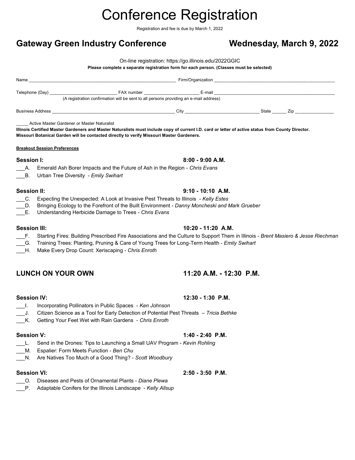## Conference Registration

Registration and fee is due by March 1, 2022

#### Gateway Green Industry Conference **Wednesday, March 9, 2022**

On-line registration: [https://go.illinois.edu/2022GGIC](https://go.illinois.edu/2020GGIC)

#### **Please complete a separate registration form for each person. (Classes must be selected)**

|                                             | (A registration confirmation will be sent to all persons providing an e-mail address)                                                              |                     |  |  |
|---------------------------------------------|----------------------------------------------------------------------------------------------------------------------------------------------------|---------------------|--|--|
|                                             |                                                                                                                                                    |                     |  |  |
| Active Master Gardener or Master Naturalist |                                                                                                                                                    |                     |  |  |
|                                             | Illinois Certified Master Gardeners and Master Naturalists must include copy of current I.D. card or letter of active status from County Director. |                     |  |  |
|                                             | Missouri Botanical Garden will be contacted directly to verify Missouri Master Gardeners.                                                          |                     |  |  |
| <b>Breakout Session Preferences</b>         |                                                                                                                                                    |                     |  |  |
| Session I:                                  |                                                                                                                                                    | $8:00 - 9:00 A.M.$  |  |  |
|                                             | A. Emerald Ash Borer Impacts and the Future of Ash in the Region - Chris Evans                                                                     |                     |  |  |
| B. Urban Tree Diversity - Emily Swihart     |                                                                                                                                                    |                     |  |  |
| <b>Session II:</b>                          |                                                                                                                                                    | $9:10 - 10:10$ A.M. |  |  |
|                                             | C. Expecting the Unexpected: A Look at Invasive Pest Threats to Illinois - Kelly Estes                                                             |                     |  |  |

- \_\_\_D. Bringing Ecology to the Forefront of the Built Environment *Danny Moncheski and Mark Grueber*
- \_\_\_E. Understanding Herbicide Damage to Trees *Chris Evans*

#### **Session III: 10:20 - 11:20 A.M.**

#### \_\_\_F. Starting Fires: Building Prescribed Fire Associations and the Culture to Support Them in Illinois - *Brent Masiero & Jesse Riechman*

- \_\_\_G. Training Trees: Planting, Pruning & Care of Young Trees for Long-Term Health *Emily Swihart*
- \_\_\_H. Make Every Drop Count: Xeriscaping *Chris Enroth*

#### **LUNCH ON YOUR OWN 11:20 A.M. - 12:30 P.M.**

- \_\_\_I. Incorporating Pollinators in Public Spaces *Ken Johnson*
- \_\_\_J. Citizen Science as a Tool for Early Detection of Potential Pest Threats *Tricia Bethke*
- \_\_\_K. Getting Your Feet Wet with Rain Gardens *Chris Enroth*

- \_\_\_L. Send in the Drones: Tips to Launching a Small UAV Program *Kevin Rohling*
- \_\_\_M. Espalier: Form Meets Function *Ben Chu*
- \_\_\_N. Are Natives Too Much of a Good Thing? *Scott Woodbury*

#### **Session VI: 2:50 - 3:50 P.M.**

- \_\_\_O. Diseases and Pests of Ornamental Plants *Diane Plewa*
- \_\_\_P. Adaptable Conifers for the Illinois Landscape *Kelly Allsup*

#### **Session IV: 12:30 - 1:30 P.M.**

#### **Session V: 1:40 - 2:40 P.M.**